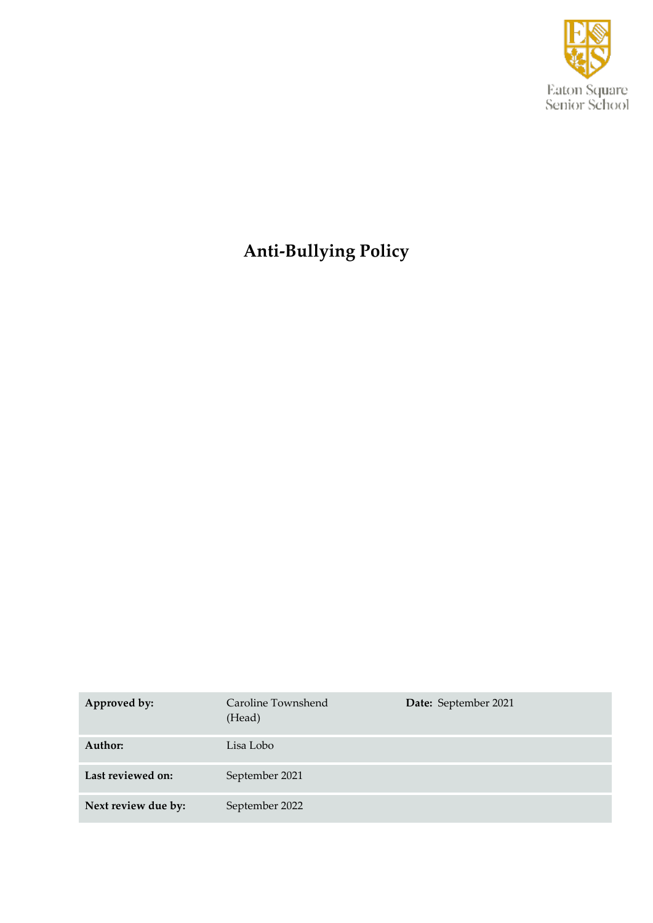

# **Anti-Bullying Policy**

| Approved by:        | Caroline Townshend<br>(Head) | Date: September 2021 |
|---------------------|------------------------------|----------------------|
| Author:             | Lisa Lobo                    |                      |
| Last reviewed on:   | September 2021               |                      |
| Next review due by: | September 2022               |                      |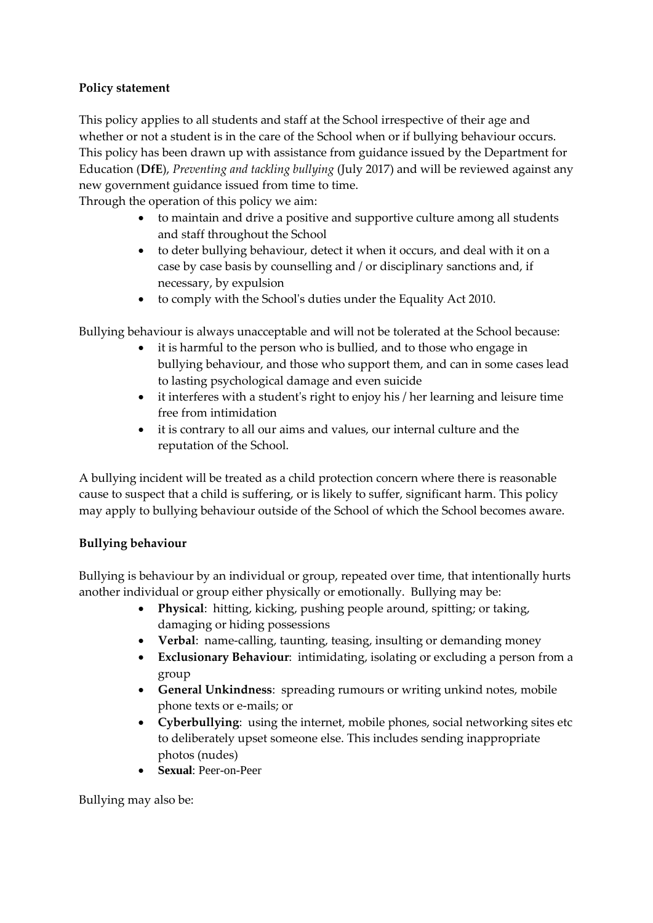### **Policy statement**

This policy applies to all students and staff at the School irrespective of their age and whether or not a student is in the care of the School when or if bullying behaviour occurs. This policy has been drawn up with assistance from guidance issued by the Department for Education (**DfE**), *Preventing and tackling bullying* (July 2017) and will be reviewed against any new government guidance issued from time to time.

Through the operation of this policy we aim:

- to maintain and drive a positive and supportive culture among all students and staff throughout the School
- to deter bullying behaviour, detect it when it occurs, and deal with it on a case by case basis by counselling and / or disciplinary sanctions and, if necessary, by expulsion
- to comply with the School's duties under the Equality Act 2010.

Bullying behaviour is always unacceptable and will not be tolerated at the School because:

- it is harmful to the person who is bullied, and to those who engage in bullying behaviour, and those who support them, and can in some cases lead to lasting psychological damage and even suicide
- it interferes with a student's right to enjoy his / her learning and leisure time free from intimidation
- it is contrary to all our aims and values, our internal culture and the reputation of the School.

A bullying incident will be treated as a child protection concern where there is reasonable cause to suspect that a child is suffering, or is likely to suffer, significant harm. This policy may apply to bullying behaviour outside of the School of which the School becomes aware.

### **Bullying behaviour**

Bullying is behaviour by an individual or group, repeated over time, that intentionally hurts another individual or group either physically or emotionally. Bullying may be:

- **Physical**: hitting, kicking, pushing people around, spitting; or taking, damaging or hiding possessions
- **Verbal**: name-calling, taunting, teasing, insulting or demanding money
- **Exclusionary Behaviour**: intimidating, isolating or excluding a person from a group
- **General Unkindness**: spreading rumours or writing unkind notes, mobile phone texts or e-mails; or
- **Cyberbullying**: using the internet, mobile phones, social networking sites etc to deliberately upset someone else. This includes sending inappropriate photos (nudes)
- **Sexual**: Peer-on-Peer

Bullying may also be: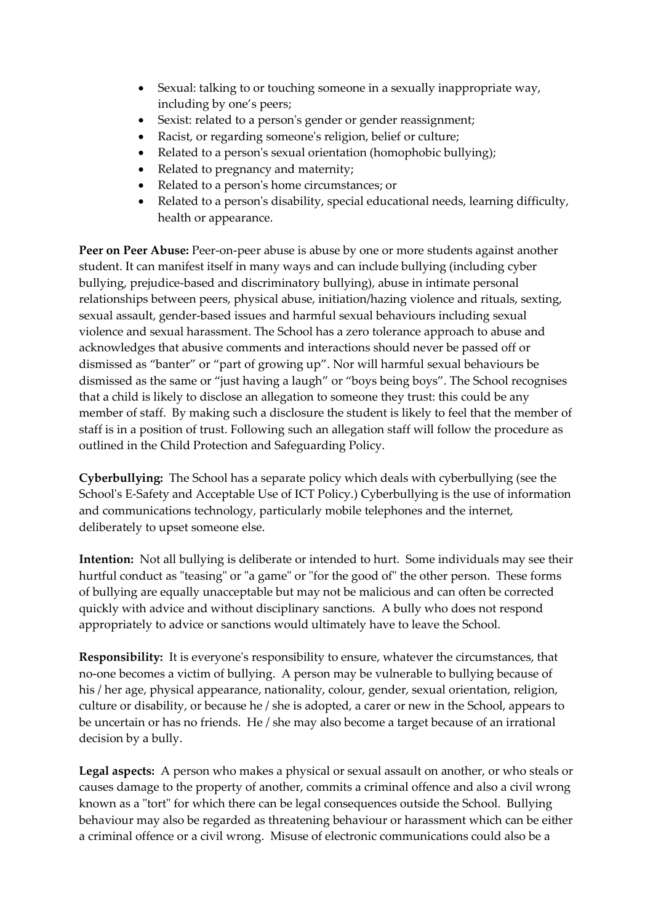- Sexual: talking to or touching someone in a sexually inappropriate way, including by one's peers;
- Sexist: related to a person's gender or gender reassignment;
- Racist, or regarding someone's religion, belief or culture;
- Related to a person's sexual orientation (homophobic bullying);
- Related to pregnancy and maternity;
- Related to a person's home circumstances; or
- Related to a person's disability, special educational needs, learning difficulty, health or appearance.

Peer on Peer Abuse: Peer-on-peer abuse is abuse by one or more students against another student. It can manifest itself in many ways and can include bullying (including cyber bullying, prejudice-based and discriminatory bullying), abuse in intimate personal relationships between peers, physical abuse, initiation/hazing violence and rituals, sexting, sexual assault, gender-based issues and harmful sexual behaviours including sexual violence and sexual harassment. The School has a zero tolerance approach to abuse and acknowledges that abusive comments and interactions should never be passed off or dismissed as "banter" or "part of growing up". Nor will harmful sexual behaviours be dismissed as the same or "just having a laugh" or "boys being boys". The School recognises that a child is likely to disclose an allegation to someone they trust: this could be any member of staff. By making such a disclosure the student is likely to feel that the member of staff is in a position of trust. Following such an allegation staff will follow the procedure as outlined in the Child Protection and Safeguarding Policy.

**Cyberbullying:** The School has a separate policy which deals with cyberbullying (see the School's E-Safety and Acceptable Use of ICT Policy.) Cyberbullying is the use of information and communications technology, particularly mobile telephones and the internet, deliberately to upset someone else.

**Intention:** Not all bullying is deliberate or intended to hurt. Some individuals may see their hurtful conduct as "teasing" or "a game" or "for the good of" the other person. These forms of bullying are equally unacceptable but may not be malicious and can often be corrected quickly with advice and without disciplinary sanctions. A bully who does not respond appropriately to advice or sanctions would ultimately have to leave the School.

**Responsibility:** It is everyone's responsibility to ensure, whatever the circumstances, that no-one becomes a victim of bullying. A person may be vulnerable to bullying because of his / her age, physical appearance, nationality, colour, gender, sexual orientation, religion, culture or disability, or because he / she is adopted, a carer or new in the School, appears to be uncertain or has no friends. He / she may also become a target because of an irrational decision by a bully.

**Legal aspects:** A person who makes a physical or sexual assault on another, or who steals or causes damage to the property of another, commits a criminal offence and also a civil wrong known as a "tort" for which there can be legal consequences outside the School. Bullying behaviour may also be regarded as threatening behaviour or harassment which can be either a criminal offence or a civil wrong. Misuse of electronic communications could also be a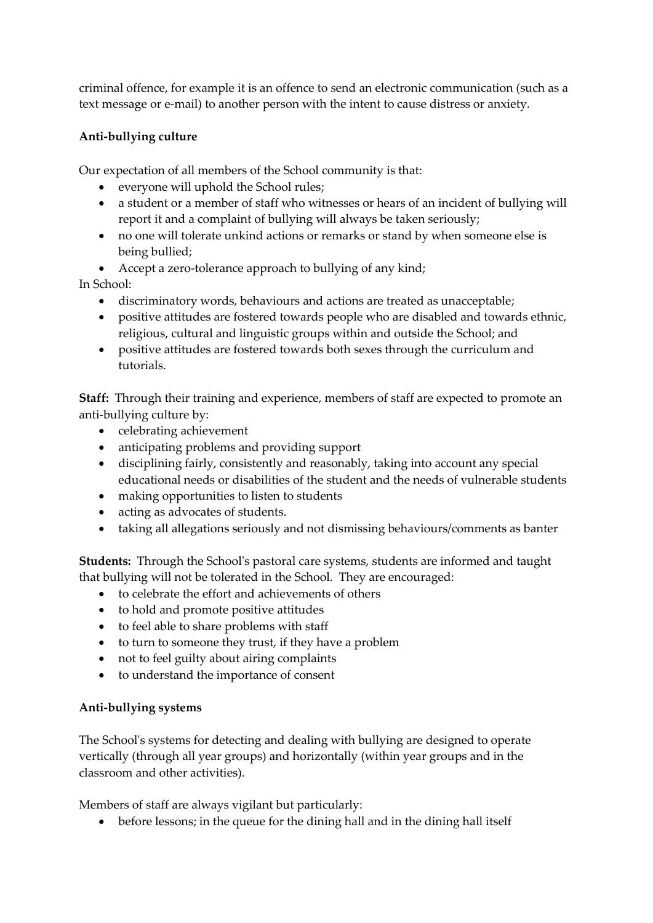criminal offence, for example it is an offence to send an electronic communication (such as a text message or e-mail) to another person with the intent to cause distress or anxiety.

## **Anti-bullying culture**

Our expectation of all members of the School community is that:

- everyone will uphold the School rules;
- a student or a member of staff who witnesses or hears of an incident of bullying will report it and a complaint of bullying will always be taken seriously;
- no one will tolerate unkind actions or remarks or stand by when someone else is being bullied;
- Accept a zero-tolerance approach to bullying of any kind;

In School:

- discriminatory words, behaviours and actions are treated as unacceptable;
- positive attitudes are fostered towards people who are disabled and towards ethnic, religious, cultural and linguistic groups within and outside the School; and
- positive attitudes are fostered towards both sexes through the curriculum and tutorials.

**Staff:** Through their training and experience, members of staff are expected to promote an anti-bullying culture by:

- celebrating achievement
- anticipating problems and providing support
- disciplining fairly, consistently and reasonably, taking into account any special educational needs or disabilities of the student and the needs of vulnerable students
- making opportunities to listen to students
- acting as advocates of students.
- taking all allegations seriously and not dismissing behaviours/comments as banter

**Students:** Through the School's pastoral care systems, students are informed and taught that bullying will not be tolerated in the School. They are encouraged:

- to celebrate the effort and achievements of others
- to hold and promote positive attitudes
- to feel able to share problems with staff
- to turn to someone they trust, if they have a problem
- not to feel guilty about airing complaints
- to understand the importance of consent

### **Anti-bullying systems**

The School's systems for detecting and dealing with bullying are designed to operate vertically (through all year groups) and horizontally (within year groups and in the classroom and other activities).

Members of staff are always vigilant but particularly:

• before lessons; in the queue for the dining hall and in the dining hall itself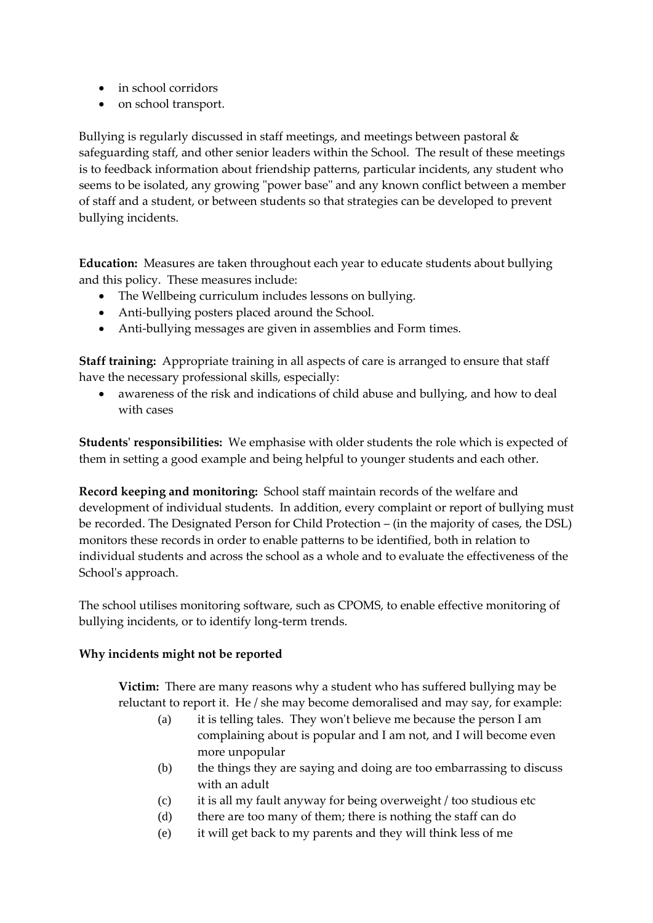- in school corridors
- on school transport.

Bullying is regularly discussed in staff meetings, and meetings between pastoral & safeguarding staff, and other senior leaders within the School. The result of these meetings is to feedback information about friendship patterns, particular incidents, any student who seems to be isolated, any growing "power base" and any known conflict between a member of staff and a student, or between students so that strategies can be developed to prevent bullying incidents.

**Education:** Measures are taken throughout each year to educate students about bullying and this policy. These measures include:

- The Wellbeing curriculum includes lessons on bullying.
- Anti-bullying posters placed around the School.
- Anti-bullying messages are given in assemblies and Form times.

**Staff training:** Appropriate training in all aspects of care is arranged to ensure that staff have the necessary professional skills, especially:

awareness of the risk and indications of child abuse and bullying, and how to deal with cases

**Students' responsibilities:** We emphasise with older students the role which is expected of them in setting a good example and being helpful to younger students and each other.

**Record keeping and monitoring:** School staff maintain records of the welfare and development of individual students. In addition, every complaint or report of bullying must be recorded. The Designated Person for Child Protection – (in the majority of cases, the DSL) monitors these records in order to enable patterns to be identified, both in relation to individual students and across the school as a whole and to evaluate the effectiveness of the School's approach.

The school utilises monitoring software, such as CPOMS, to enable effective monitoring of bullying incidents, or to identify long-term trends.

### **Why incidents might not be reported**

**Victim:** There are many reasons why a student who has suffered bullying may be reluctant to report it. He / she may become demoralised and may say, for example:

- (a) it is telling tales. They won't believe me because the person I am complaining about is popular and I am not, and I will become even more unpopular
- (b) the things they are saying and doing are too embarrassing to discuss with an adult
- (c) it is all my fault anyway for being overweight / too studious etc
- (d) there are too many of them; there is nothing the staff can do
- (e) it will get back to my parents and they will think less of me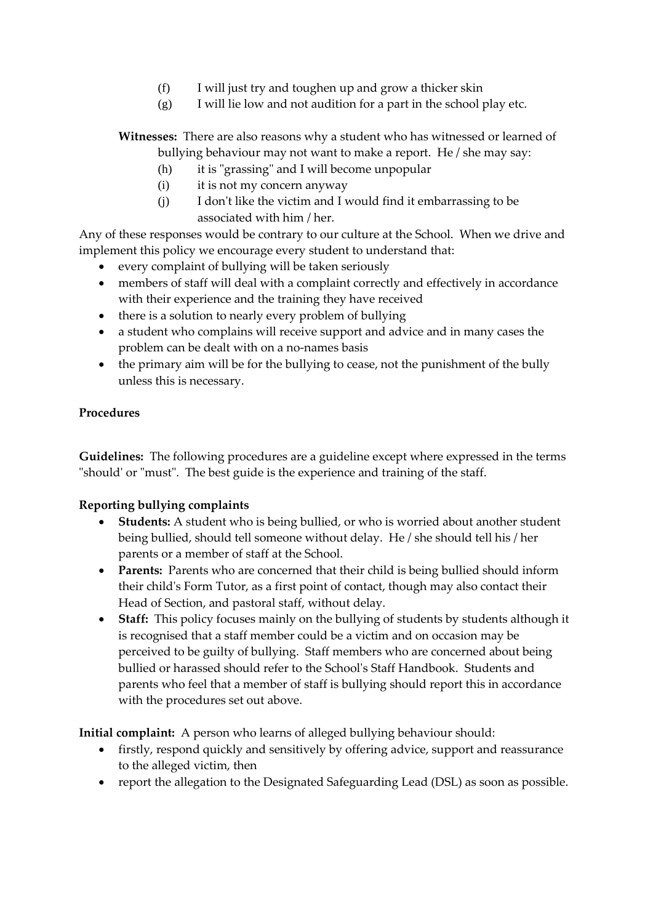- (f) I will just try and toughen up and grow a thicker skin
- (g) I will lie low and not audition for a part in the school play etc.

**Witnesses:** There are also reasons why a student who has witnessed or learned of bullying behaviour may not want to make a report. He / she may say:

- (h) it is "grassing" and I will become unpopular
- (i) it is not my concern anyway
- (j) I don't like the victim and I would find it embarrassing to be associated with him / her.

Any of these responses would be contrary to our culture at the School. When we drive and implement this policy we encourage every student to understand that:

- every complaint of bullying will be taken seriously
- members of staff will deal with a complaint correctly and effectively in accordance with their experience and the training they have received
- there is a solution to nearly every problem of bullying
- a student who complains will receive support and advice and in many cases the problem can be dealt with on a no-names basis
- the primary aim will be for the bullying to cease, not the punishment of the bully unless this is necessary.

### **Procedures**

**Guidelines:** The following procedures are a guideline except where expressed in the terms "should' or "must". The best guide is the experience and training of the staff.

### **Reporting bullying complaints**

- **Students:** A student who is being bullied, or who is worried about another student being bullied, should tell someone without delay. He / she should tell his / her parents or a member of staff at the School.
- **Parents:** Parents who are concerned that their child is being bullied should inform their child's Form Tutor, as a first point of contact, though may also contact their Head of Section, and pastoral staff, without delay.
- **Staff:** This policy focuses mainly on the bullying of students by students although it is recognised that a staff member could be a victim and on occasion may be perceived to be guilty of bullying. Staff members who are concerned about being bullied or harassed should refer to the School's Staff Handbook. Students and parents who feel that a member of staff is bullying should report this in accordance with the procedures set out above.

**Initial complaint:** A person who learns of alleged bullying behaviour should:

- firstly, respond quickly and sensitively by offering advice, support and reassurance to the alleged victim, then
- report the allegation to the Designated Safeguarding Lead (DSL) as soon as possible.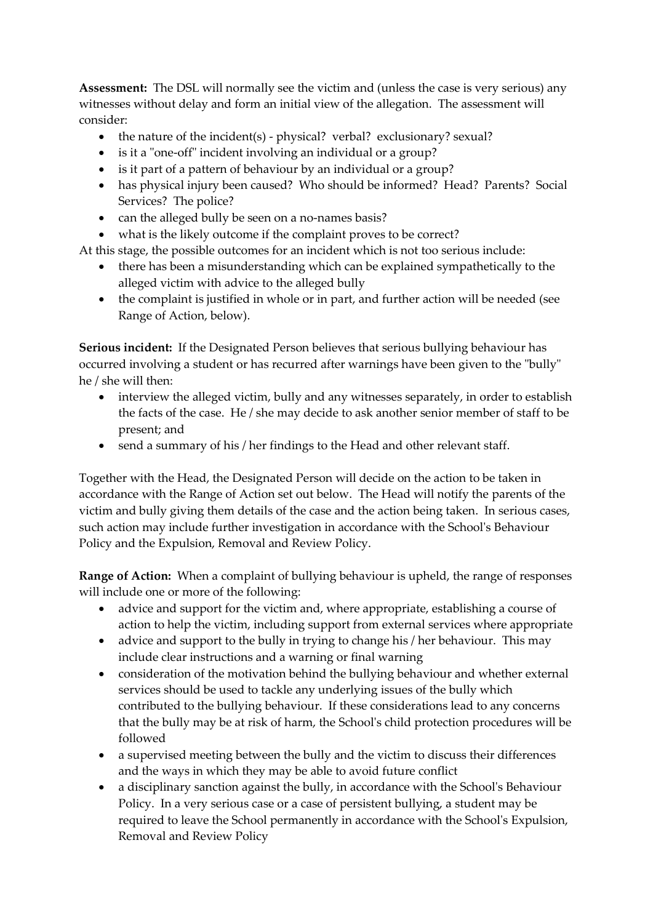**Assessment:** The DSL will normally see the victim and (unless the case is very serious) any witnesses without delay and form an initial view of the allegation. The assessment will consider:

- the nature of the incident(s) physical? verbal? exclusionary? sexual?
- is it a "one-off" incident involving an individual or a group?
- is it part of a pattern of behaviour by an individual or a group?
- has physical injury been caused? Who should be informed? Head? Parents? Social Services? The police?
- can the alleged bully be seen on a no-names basis?
- what is the likely outcome if the complaint proves to be correct?

At this stage, the possible outcomes for an incident which is not too serious include:

- there has been a misunderstanding which can be explained sympathetically to the alleged victim with advice to the alleged bully
- the complaint is justified in whole or in part, and further action will be needed (see Range of Action, below).

**Serious incident:** If the Designated Person believes that serious bullying behaviour has occurred involving a student or has recurred after warnings have been given to the "bully" he / she will then:

- interview the alleged victim, bully and any witnesses separately, in order to establish the facts of the case. He / she may decide to ask another senior member of staff to be present; and
- send a summary of his / her findings to the Head and other relevant staff.

Together with the Head, the Designated Person will decide on the action to be taken in accordance with the Range of Action set out below. The Head will notify the parents of the victim and bully giving them details of the case and the action being taken. In serious cases, such action may include further investigation in accordance with the School's Behaviour Policy and the Expulsion, Removal and Review Policy.

**Range of Action:** When a complaint of bullying behaviour is upheld, the range of responses will include one or more of the following:

- advice and support for the victim and, where appropriate, establishing a course of action to help the victim, including support from external services where appropriate
- advice and support to the bully in trying to change his / her behaviour. This may include clear instructions and a warning or final warning
- consideration of the motivation behind the bullying behaviour and whether external services should be used to tackle any underlying issues of the bully which contributed to the bullying behaviour. If these considerations lead to any concerns that the bully may be at risk of harm, the School's child protection procedures will be followed
- a supervised meeting between the bully and the victim to discuss their differences and the ways in which they may be able to avoid future conflict
- a disciplinary sanction against the bully, in accordance with the School's Behaviour Policy. In a very serious case or a case of persistent bullying, a student may be required to leave the School permanently in accordance with the School's Expulsion, Removal and Review Policy